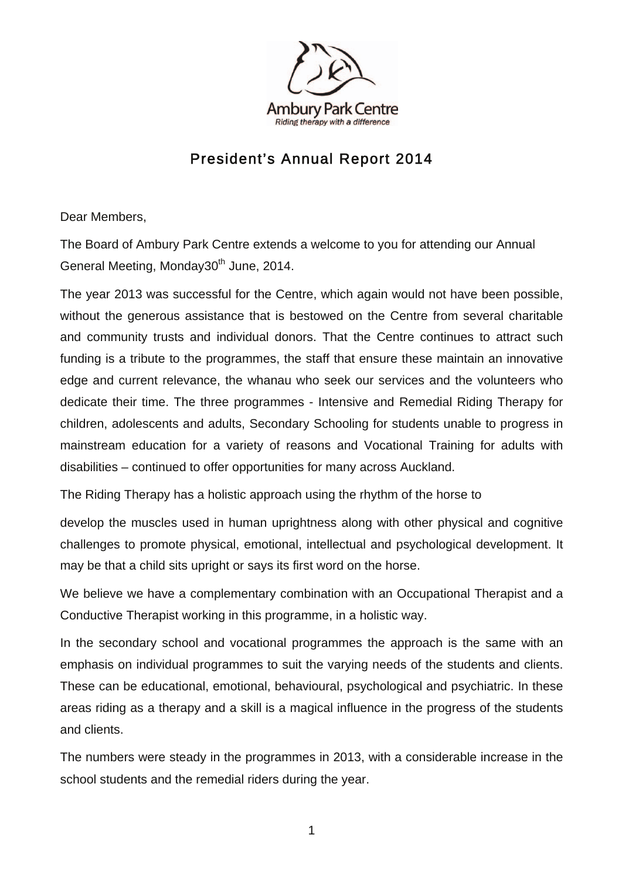

## President's Annual Report 2014

Dear Members,

The Board of Ambury Park Centre extends a welcome to you for attending our Annual General Meeting, Monday30<sup>th</sup> June, 2014.

The year 2013 was successful for the Centre, which again would not have been possible, without the generous assistance that is bestowed on the Centre from several charitable and community trusts and individual donors. That the Centre continues to attract such funding is a tribute to the programmes, the staff that ensure these maintain an innovative edge and current relevance, the whanau who seek our services and the volunteers who dedicate their time. The three programmes - Intensive and Remedial Riding Therapy for children, adolescents and adults, Secondary Schooling for students unable to progress in mainstream education for a variety of reasons and Vocational Training for adults with disabilities – continued to offer opportunities for many across Auckland.

The Riding Therapy has a holistic approach using the rhythm of the horse to

develop the muscles used in human uprightness along with other physical and cognitive challenges to promote physical, emotional, intellectual and psychological development. It may be that a child sits upright or says its first word on the horse.

We believe we have a complementary combination with an Occupational Therapist and a Conductive Therapist working in this programme, in a holistic way.

In the secondary school and vocational programmes the approach is the same with an emphasis on individual programmes to suit the varying needs of the students and clients. These can be educational, emotional, behavioural, psychological and psychiatric. In these areas riding as a therapy and a skill is a magical influence in the progress of the students and clients.

The numbers were steady in the programmes in 2013, with a considerable increase in the school students and the remedial riders during the year.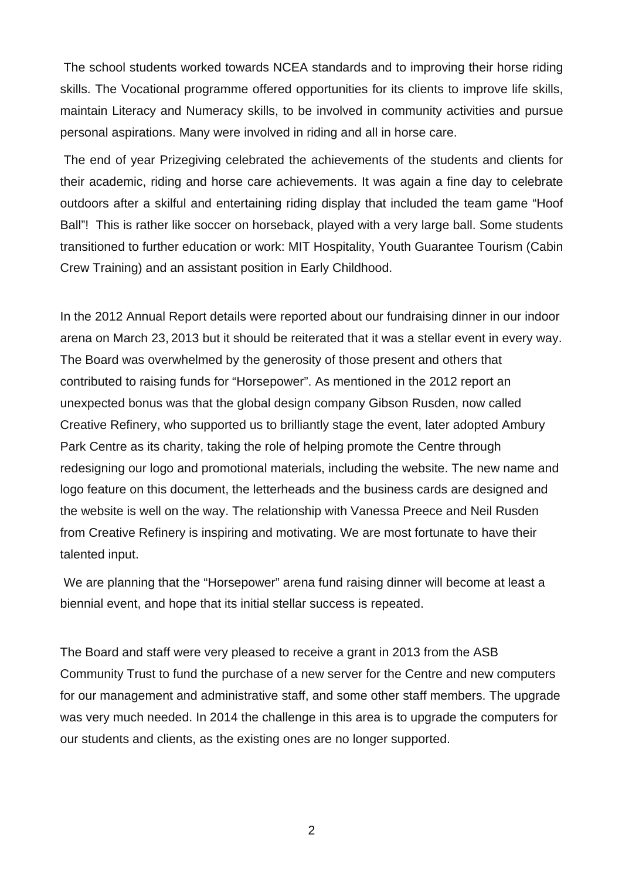The school students worked towards NCEA standards and to improving their horse riding skills. The Vocational programme offered opportunities for its clients to improve life skills, maintain Literacy and Numeracy skills, to be involved in community activities and pursue personal aspirations. Many were involved in riding and all in horse care.

 The end of year Prizegiving celebrated the achievements of the students and clients for their academic, riding and horse care achievements. It was again a fine day to celebrate outdoors after a skilful and entertaining riding display that included the team game "Hoof Ball"! This is rather like soccer on horseback, played with a very large ball. Some students transitioned to further education or work: MIT Hospitality, Youth Guarantee Tourism (Cabin Crew Training) and an assistant position in Early Childhood.

In the 2012 Annual Report details were reported about our fundraising dinner in our indoor arena on March 23, 2013 but it should be reiterated that it was a stellar event in every way. The Board was overwhelmed by the generosity of those present and others that contributed to raising funds for "Horsepower". As mentioned in the 2012 report an unexpected bonus was that the global design company Gibson Rusden, now called Creative Refinery, who supported us to brilliantly stage the event, later adopted Ambury Park Centre as its charity, taking the role of helping promote the Centre through redesigning our logo and promotional materials, including the website. The new name and logo feature on this document, the letterheads and the business cards are designed and the website is well on the way. The relationship with Vanessa Preece and Neil Rusden from Creative Refinery is inspiring and motivating. We are most fortunate to have their talented input.

 We are planning that the "Horsepower" arena fund raising dinner will become at least a biennial event, and hope that its initial stellar success is repeated.

The Board and staff were very pleased to receive a grant in 2013 from the ASB Community Trust to fund the purchase of a new server for the Centre and new computers for our management and administrative staff, and some other staff members. The upgrade was very much needed. In 2014 the challenge in this area is to upgrade the computers for our students and clients, as the existing ones are no longer supported.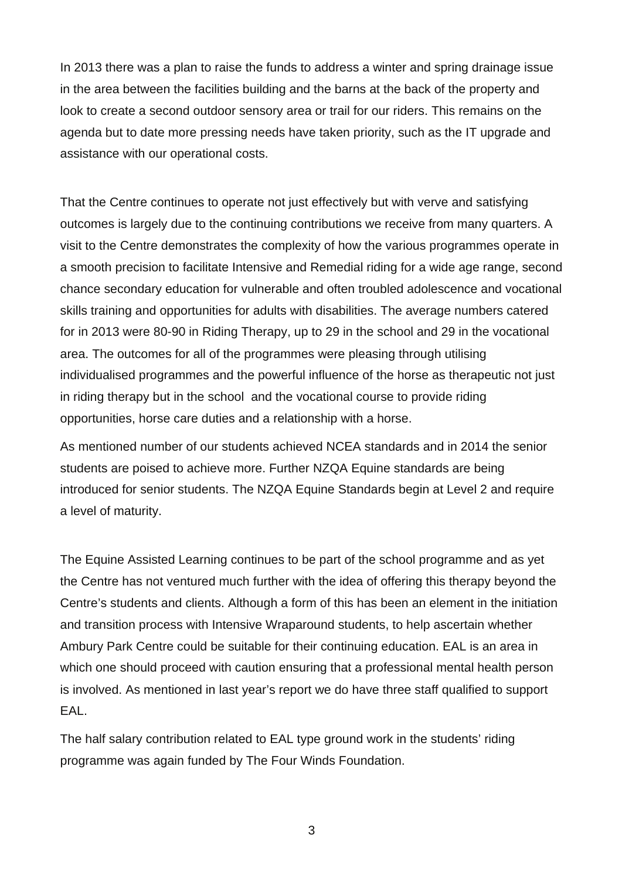In 2013 there was a plan to raise the funds to address a winter and spring drainage issue in the area between the facilities building and the barns at the back of the property and look to create a second outdoor sensory area or trail for our riders. This remains on the agenda but to date more pressing needs have taken priority, such as the IT upgrade and assistance with our operational costs.

That the Centre continues to operate not just effectively but with verve and satisfying outcomes is largely due to the continuing contributions we receive from many quarters. A visit to the Centre demonstrates the complexity of how the various programmes operate in a smooth precision to facilitate Intensive and Remedial riding for a wide age range, second chance secondary education for vulnerable and often troubled adolescence and vocational skills training and opportunities for adults with disabilities. The average numbers catered for in 2013 were 80-90 in Riding Therapy, up to 29 in the school and 29 in the vocational area. The outcomes for all of the programmes were pleasing through utilising individualised programmes and the powerful influence of the horse as therapeutic not just in riding therapy but in the school and the vocational course to provide riding opportunities, horse care duties and a relationship with a horse.

As mentioned number of our students achieved NCEA standards and in 2014 the senior students are poised to achieve more. Further NZQA Equine standards are being introduced for senior students. The NZQA Equine Standards begin at Level 2 and require a level of maturity.

The Equine Assisted Learning continues to be part of the school programme and as yet the Centre has not ventured much further with the idea of offering this therapy beyond the Centre's students and clients. Although a form of this has been an element in the initiation and transition process with Intensive Wraparound students, to help ascertain whether Ambury Park Centre could be suitable for their continuing education. EAL is an area in which one should proceed with caution ensuring that a professional mental health person is involved. As mentioned in last year's report we do have three staff qualified to support EAL.

The half salary contribution related to EAL type ground work in the students' riding programme was again funded by The Four Winds Foundation.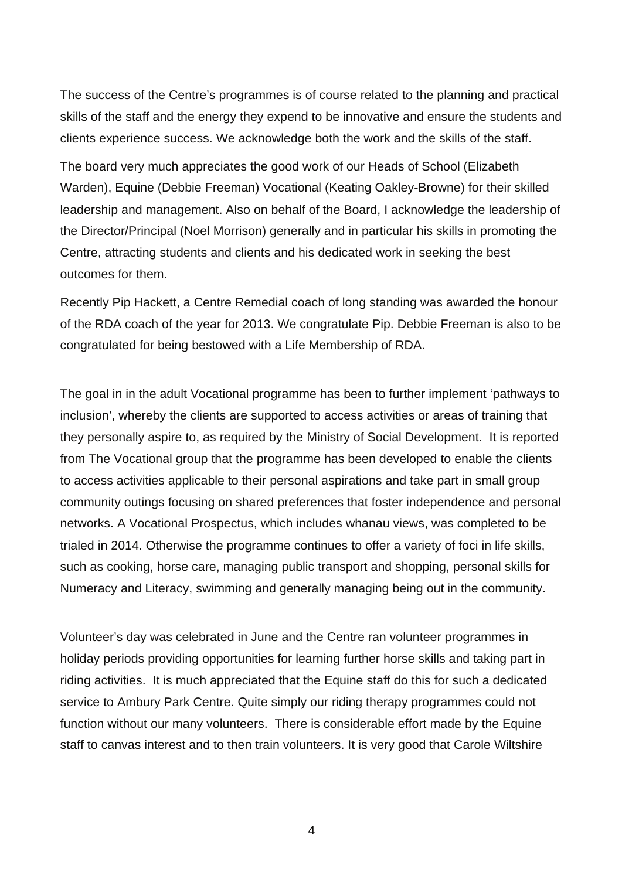The success of the Centre's programmes is of course related to the planning and practical skills of the staff and the energy they expend to be innovative and ensure the students and clients experience success. We acknowledge both the work and the skills of the staff.

The board very much appreciates the good work of our Heads of School (Elizabeth Warden), Equine (Debbie Freeman) Vocational (Keating Oakley-Browne) for their skilled leadership and management. Also on behalf of the Board, I acknowledge the leadership of the Director/Principal (Noel Morrison) generally and in particular his skills in promoting the Centre, attracting students and clients and his dedicated work in seeking the best outcomes for them.

Recently Pip Hackett, a Centre Remedial coach of long standing was awarded the honour of the RDA coach of the year for 2013. We congratulate Pip. Debbie Freeman is also to be congratulated for being bestowed with a Life Membership of RDA.

The goal in in the adult Vocational programme has been to further implement 'pathways to inclusion', whereby the clients are supported to access activities or areas of training that they personally aspire to, as required by the Ministry of Social Development. It is reported from The Vocational group that the programme has been developed to enable the clients to access activities applicable to their personal aspirations and take part in small group community outings focusing on shared preferences that foster independence and personal networks. A Vocational Prospectus, which includes whanau views, was completed to be trialed in 2014. Otherwise the programme continues to offer a variety of foci in life skills, such as cooking, horse care, managing public transport and shopping, personal skills for Numeracy and Literacy, swimming and generally managing being out in the community.

Volunteer's day was celebrated in June and the Centre ran volunteer programmes in holiday periods providing opportunities for learning further horse skills and taking part in riding activities. It is much appreciated that the Equine staff do this for such a dedicated service to Ambury Park Centre. Quite simply our riding therapy programmes could not function without our many volunteers. There is considerable effort made by the Equine staff to canvas interest and to then train volunteers. It is very good that Carole Wiltshire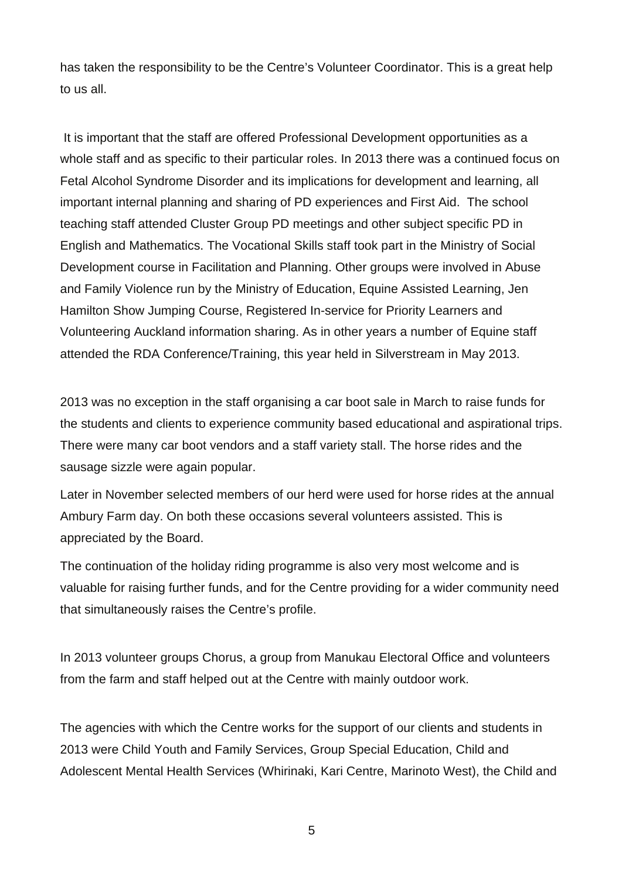has taken the responsibility to be the Centre's Volunteer Coordinator. This is a great help to us all.

 It is important that the staff are offered Professional Development opportunities as a whole staff and as specific to their particular roles. In 2013 there was a continued focus on Fetal Alcohol Syndrome Disorder and its implications for development and learning, all important internal planning and sharing of PD experiences and First Aid. The school teaching staff attended Cluster Group PD meetings and other subject specific PD in English and Mathematics. The Vocational Skills staff took part in the Ministry of Social Development course in Facilitation and Planning. Other groups were involved in Abuse and Family Violence run by the Ministry of Education, Equine Assisted Learning, Jen Hamilton Show Jumping Course, Registered In-service for Priority Learners and Volunteering Auckland information sharing. As in other years a number of Equine staff attended the RDA Conference/Training, this year held in Silverstream in May 2013.

2013 was no exception in the staff organising a car boot sale in March to raise funds for the students and clients to experience community based educational and aspirational trips. There were many car boot vendors and a staff variety stall. The horse rides and the sausage sizzle were again popular.

Later in November selected members of our herd were used for horse rides at the annual Ambury Farm day. On both these occasions several volunteers assisted. This is appreciated by the Board.

The continuation of the holiday riding programme is also very most welcome and is valuable for raising further funds, and for the Centre providing for a wider community need that simultaneously raises the Centre's profile.

In 2013 volunteer groups Chorus, a group from Manukau Electoral Office and volunteers from the farm and staff helped out at the Centre with mainly outdoor work.

The agencies with which the Centre works for the support of our clients and students in 2013 were Child Youth and Family Services, Group Special Education, Child and Adolescent Mental Health Services (Whirinaki, Kari Centre, Marinoto West), the Child and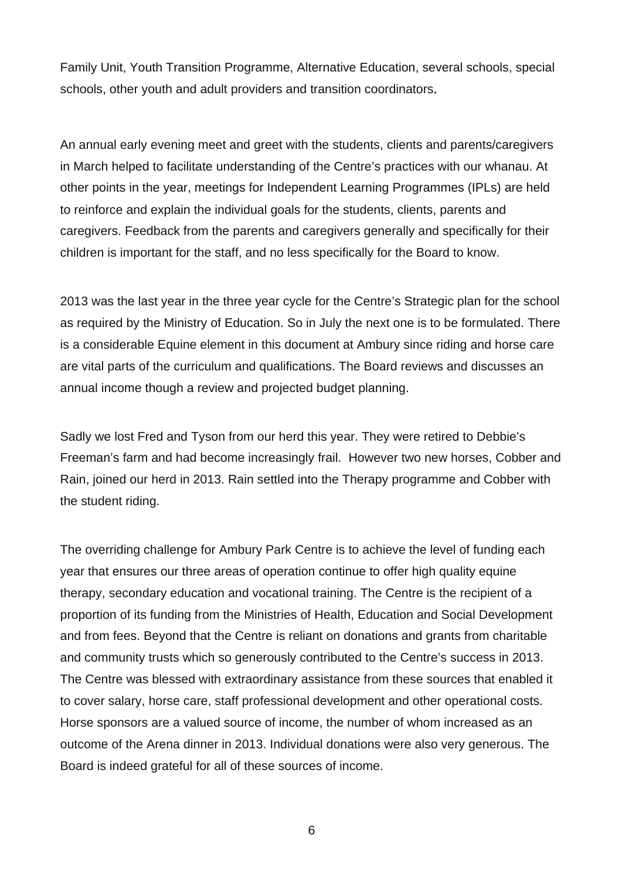Family Unit, Youth Transition Programme, Alternative Education, several schools, special schools, other youth and adult providers and transition coordinators.

An annual early evening meet and greet with the students, clients and parents/caregivers in March helped to facilitate understanding of the Centre's practices with our whanau. At other points in the year, meetings for Independent Learning Programmes (IPLs) are held to reinforce and explain the individual goals for the students, clients, parents and caregivers. Feedback from the parents and caregivers generally and specifically for their children is important for the staff, and no less specifically for the Board to know.

2013 was the last year in the three year cycle for the Centre's Strategic plan for the school as required by the Ministry of Education. So in July the next one is to be formulated. There is a considerable Equine element in this document at Ambury since riding and horse care are vital parts of the curriculum and qualifications. The Board reviews and discusses an annual income though a review and projected budget planning.

Sadly we lost Fred and Tyson from our herd this year. They were retired to Debbie's Freeman's farm and had become increasingly frail. However two new horses, Cobber and Rain, joined our herd in 2013. Rain settled into the Therapy programme and Cobber with the student riding.

The overriding challenge for Ambury Park Centre is to achieve the level of funding each year that ensures our three areas of operation continue to offer high quality equine therapy, secondary education and vocational training. The Centre is the recipient of a proportion of its funding from the Ministries of Health, Education and Social Development and from fees. Beyond that the Centre is reliant on donations and grants from charitable and community trusts which so generously contributed to the Centre's success in 2013. The Centre was blessed with extraordinary assistance from these sources that enabled it to cover salary, horse care, staff professional development and other operational costs. Horse sponsors are a valued source of income, the number of whom increased as an outcome of the Arena dinner in 2013. Individual donations were also very generous. The Board is indeed grateful for all of these sources of income.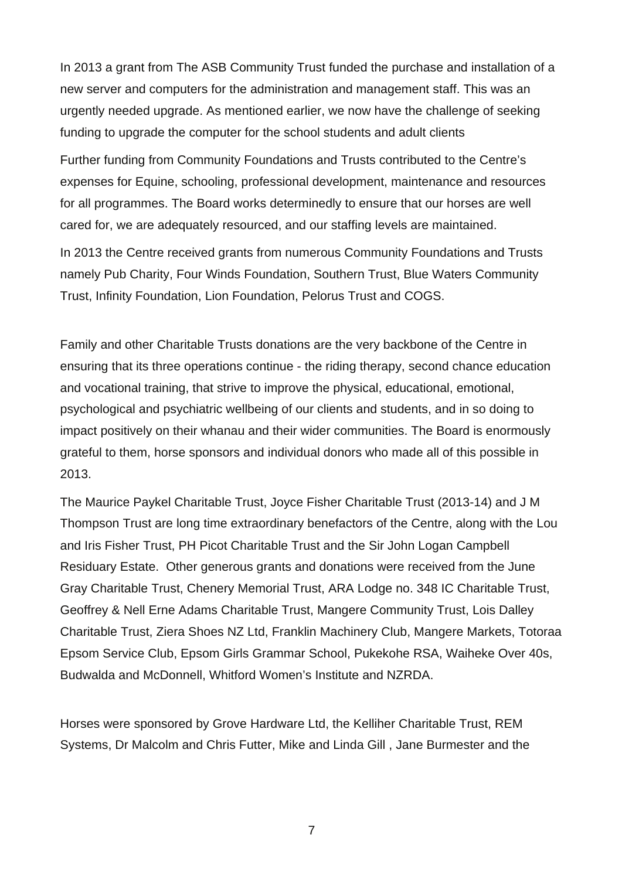In 2013 a grant from The ASB Community Trust funded the purchase and installation of a new server and computers for the administration and management staff. This was an urgently needed upgrade. As mentioned earlier, we now have the challenge of seeking funding to upgrade the computer for the school students and adult clients

Further funding from Community Foundations and Trusts contributed to the Centre's expenses for Equine, schooling, professional development, maintenance and resources for all programmes. The Board works determinedly to ensure that our horses are well cared for, we are adequately resourced, and our staffing levels are maintained.

In 2013 the Centre received grants from numerous Community Foundations and Trusts namely Pub Charity, Four Winds Foundation, Southern Trust, Blue Waters Community Trust, Infinity Foundation, Lion Foundation, Pelorus Trust and COGS.

Family and other Charitable Trusts donations are the very backbone of the Centre in ensuring that its three operations continue - the riding therapy, second chance education and vocational training, that strive to improve the physical, educational, emotional, psychological and psychiatric wellbeing of our clients and students, and in so doing to impact positively on their whanau and their wider communities. The Board is enormously grateful to them, horse sponsors and individual donors who made all of this possible in 2013.

The Maurice Paykel Charitable Trust, Joyce Fisher Charitable Trust (2013-14) and J M Thompson Trust are long time extraordinary benefactors of the Centre, along with the Lou and Iris Fisher Trust, PH Picot Charitable Trust and the Sir John Logan Campbell Residuary Estate. Other generous grants and donations were received from the June Gray Charitable Trust, Chenery Memorial Trust, ARA Lodge no. 348 IC Charitable Trust, Geoffrey & Nell Erne Adams Charitable Trust, Mangere Community Trust, Lois Dalley Charitable Trust, Ziera Shoes NZ Ltd, Franklin Machinery Club, Mangere Markets, Totoraa Epsom Service Club, Epsom Girls Grammar School, Pukekohe RSA, Waiheke Over 40s, Budwalda and McDonnell, Whitford Women's Institute and NZRDA.

Horses were sponsored by Grove Hardware Ltd, the Kelliher Charitable Trust, REM Systems, Dr Malcolm and Chris Futter, Mike and Linda Gill , Jane Burmester and the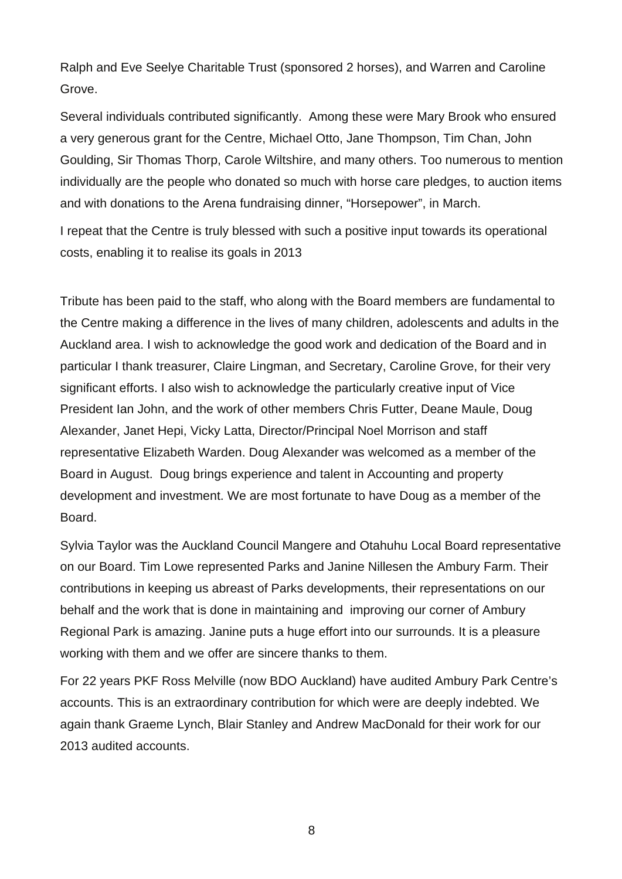Ralph and Eve Seelye Charitable Trust (sponsored 2 horses), and Warren and Caroline Grove.

Several individuals contributed significantly. Among these were Mary Brook who ensured a very generous grant for the Centre, Michael Otto, Jane Thompson, Tim Chan, John Goulding, Sir Thomas Thorp, Carole Wiltshire, and many others. Too numerous to mention individually are the people who donated so much with horse care pledges, to auction items and with donations to the Arena fundraising dinner, "Horsepower", in March.

I repeat that the Centre is truly blessed with such a positive input towards its operational costs, enabling it to realise its goals in 2013

Tribute has been paid to the staff, who along with the Board members are fundamental to the Centre making a difference in the lives of many children, adolescents and adults in the Auckland area. I wish to acknowledge the good work and dedication of the Board and in particular I thank treasurer, Claire Lingman, and Secretary, Caroline Grove, for their very significant efforts. I also wish to acknowledge the particularly creative input of Vice President Ian John, and the work of other members Chris Futter, Deane Maule, Doug Alexander, Janet Hepi, Vicky Latta, Director/Principal Noel Morrison and staff representative Elizabeth Warden. Doug Alexander was welcomed as a member of the Board in August. Doug brings experience and talent in Accounting and property development and investment. We are most fortunate to have Doug as a member of the Board.

Sylvia Taylor was the Auckland Council Mangere and Otahuhu Local Board representative on our Board. Tim Lowe represented Parks and Janine Nillesen the Ambury Farm. Their contributions in keeping us abreast of Parks developments, their representations on our behalf and the work that is done in maintaining and improving our corner of Ambury Regional Park is amazing. Janine puts a huge effort into our surrounds. It is a pleasure working with them and we offer are sincere thanks to them.

For 22 years PKF Ross Melville (now BDO Auckland) have audited Ambury Park Centre's accounts. This is an extraordinary contribution for which were are deeply indebted. We again thank Graeme Lynch, Blair Stanley and Andrew MacDonald for their work for our 2013 audited accounts.